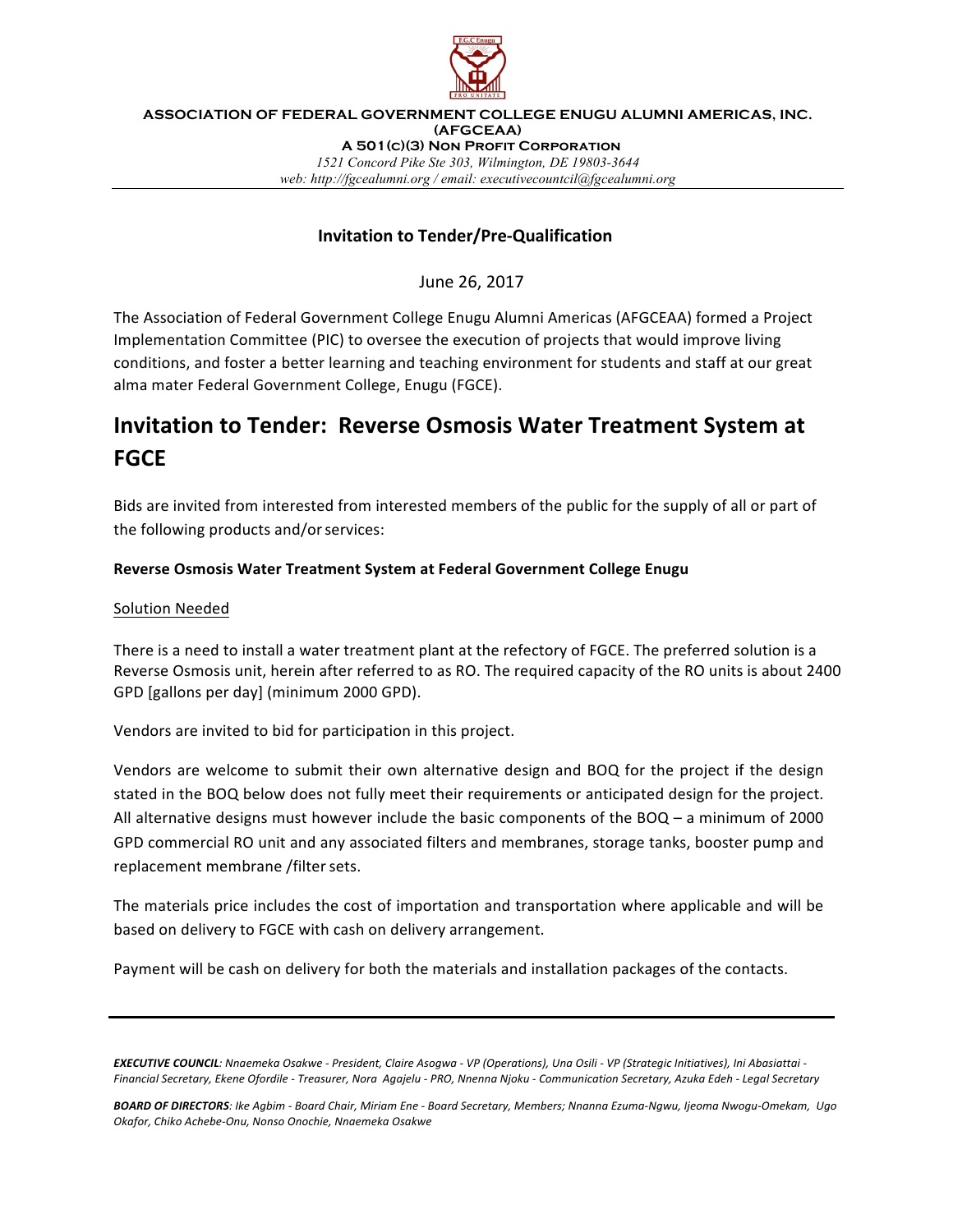

**ASSOCIATION OF FEDERAL GOVERNMENT COLLEGE ENUGU ALUMNI AMERICAS, INC. (AFGCEAA) A 501(c)(3) Non Profit Corporation** *1521 Concord Pike Ste 303, Wilmington, DE 19803-3644 web: http://fgcealumni.org / email: executivecountcil@fgcealumni.org*

### **Invitation to Tender/Pre-Qualification**

June 26, 2017

The Association of Federal Government College Enugu Alumni Americas (AFGCEAA) formed a Project Implementation Committee (PIC) to oversee the execution of projects that would improve living conditions, and foster a better learning and teaching environment for students and staff at our great alma mater Federal Government College, Enugu (FGCE).

# **Invitation to Tender: Reverse Osmosis Water Treatment System at FGCE**

Bids are invited from interested from interested members of the public for the supply of all or part of the following products and/or services:

#### **Reverse Osmosis Water Treatment System at Federal Government College Enugu**

#### Solution Needed

There is a need to install a water treatment plant at the refectory of FGCE. The preferred solution is a Reverse Osmosis unit, herein after referred to as RO. The required capacity of the RO units is about 2400 GPD [gallons per day] (minimum 2000 GPD).

Vendors are invited to bid for participation in this project.

Vendors are welcome to submit their own alternative design and BOQ for the project if the design stated in the BOQ below does not fully meet their requirements or anticipated design for the project. All alternative designs must however include the basic components of the  $BOQ - a$  minimum of 2000 GPD commercial RO unit and any associated filters and membranes, storage tanks, booster pump and replacement membrane /filter sets.

The materials price includes the cost of importation and transportation where applicable and will be based on delivery to FGCE with cash on delivery arrangement.

Payment will be cash on delivery for both the materials and installation packages of the contacts.

**EXECUTIVE COUNCIL**: Nnaemeka Osakwe - President, Claire Asogwa - VP (Operations), Una Osili - VP (Strategic Initiatives), Ini Abasiattai -*Financial Secretary, Ekene Ofordile - Treasurer, Nora Agajelu - PRO, Nnenna Njoku - Communication Secretary, Azuka Edeh - Legal Secretary*

BOARD OF DIRECTORS: Ike Agbim - Board Chair, Miriam Ene - Board Secretary, Members; Nnanna Ezuma-Ngwu, Ijeoma Nwogu-Omekam, Ugo *Okafor, Chiko Achebe-Onu, Nonso Onochie, Nnaemeka Osakwe*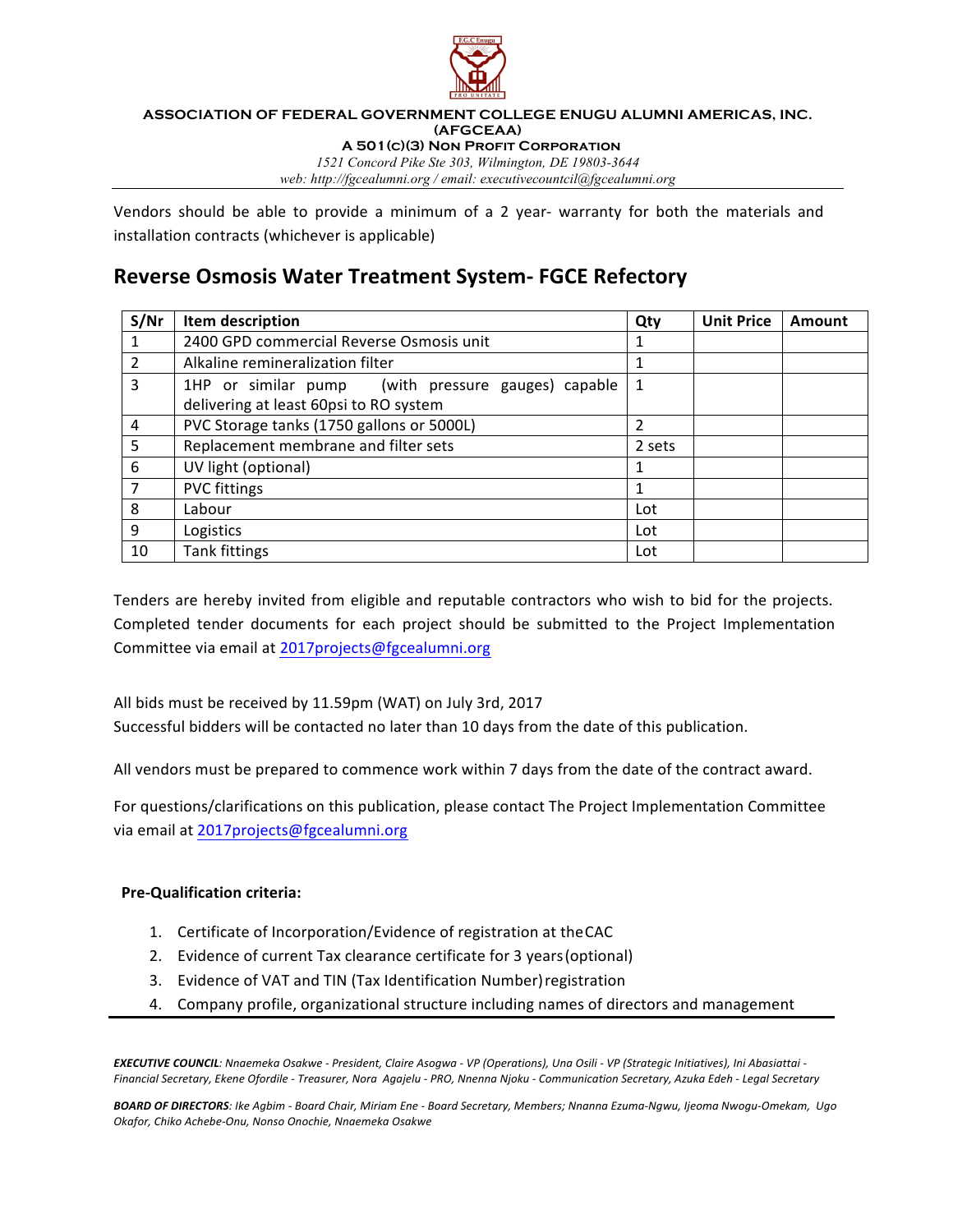

#### **ASSOCIATION OF FEDERAL GOVERNMENT COLLEGE ENUGU ALUMNI AMERICAS, INC. (AFGCEAA) A 501(c)(3) Non Profit Corporation**

*1521 Concord Pike Ste 303, Wilmington, DE 19803-3644 web: http://fgcealumni.org / email: executivecountcil@fgcealumni.org*

Vendors should be able to provide a minimum of a 2 year- warranty for both the materials and installation contracts (whichever is applicable)

## **Reverse Osmosis Water Treatment System- FGCE Refectory**

| S/Nr | Item description                                   | Qty           | <b>Unit Price</b> | Amount |
|------|----------------------------------------------------|---------------|-------------------|--------|
|      | 2400 GPD commercial Reverse Osmosis unit           |               |                   |        |
| 2    | Alkaline remineralization filter                   | 1             |                   |        |
| 3    | 1HP or similar pump (with pressure gauges) capable | 1             |                   |        |
|      | delivering at least 60psi to RO system             |               |                   |        |
| 4    | PVC Storage tanks (1750 gallons or 5000L)          | $\mathfrak z$ |                   |        |
| 5    | Replacement membrane and filter sets               | 2 sets        |                   |        |
| 6    | UV light (optional)                                |               |                   |        |
|      | <b>PVC fittings</b>                                | 1             |                   |        |
| 8    | Labour                                             | Lot           |                   |        |
| 9    | Logistics                                          | Lot           |                   |        |
| 10   | <b>Tank fittings</b>                               | Lot           |                   |        |

Tenders are hereby invited from eligible and reputable contractors who wish to bid for the projects. Completed tender documents for each project should be submitted to the Project Implementation Committee via email at 2017projects@fgcealumni.org

All bids must be received by 11.59pm (WAT) on July 3rd, 2017 Successful bidders will be contacted no later than 10 days from the date of this publication.

All vendors must be prepared to commence work within 7 days from the date of the contract award.

For questions/clarifications on this publication, please contact The Project Implementation Committee via email at 2017projects@fgcealumni.org

#### **Pre-Qualification criteria:**

- 1. Certificate of Incorporation/Evidence of registration at the CAC
- 2. Evidence of current Tax clearance certificate for 3 years (optional)
- 3. Evidence of VAT and TIN (Tax Identification Number) registration
- 4. Company profile, organizational structure including names of directors and management

**EXECUTIVE COUNCIL**: Nnaemeka Osakwe - President, Claire Asogwa - VP (Operations), Una Osili - VP (Strategic Initiatives), Ini Abasiattai -*Financial Secretary, Ekene Ofordile - Treasurer, Nora Agajelu - PRO, Nnenna Njoku - Communication Secretary, Azuka Edeh - Legal Secretary*

BOARD OF DIRECTORS: Ike Agbim - Board Chair, Miriam Ene - Board Secretary, Members; Nnanna Ezuma-Ngwu, Ijeoma Nwogu-Omekam, Ugo *Okafor, Chiko Achebe-Onu, Nonso Onochie, Nnaemeka Osakwe*